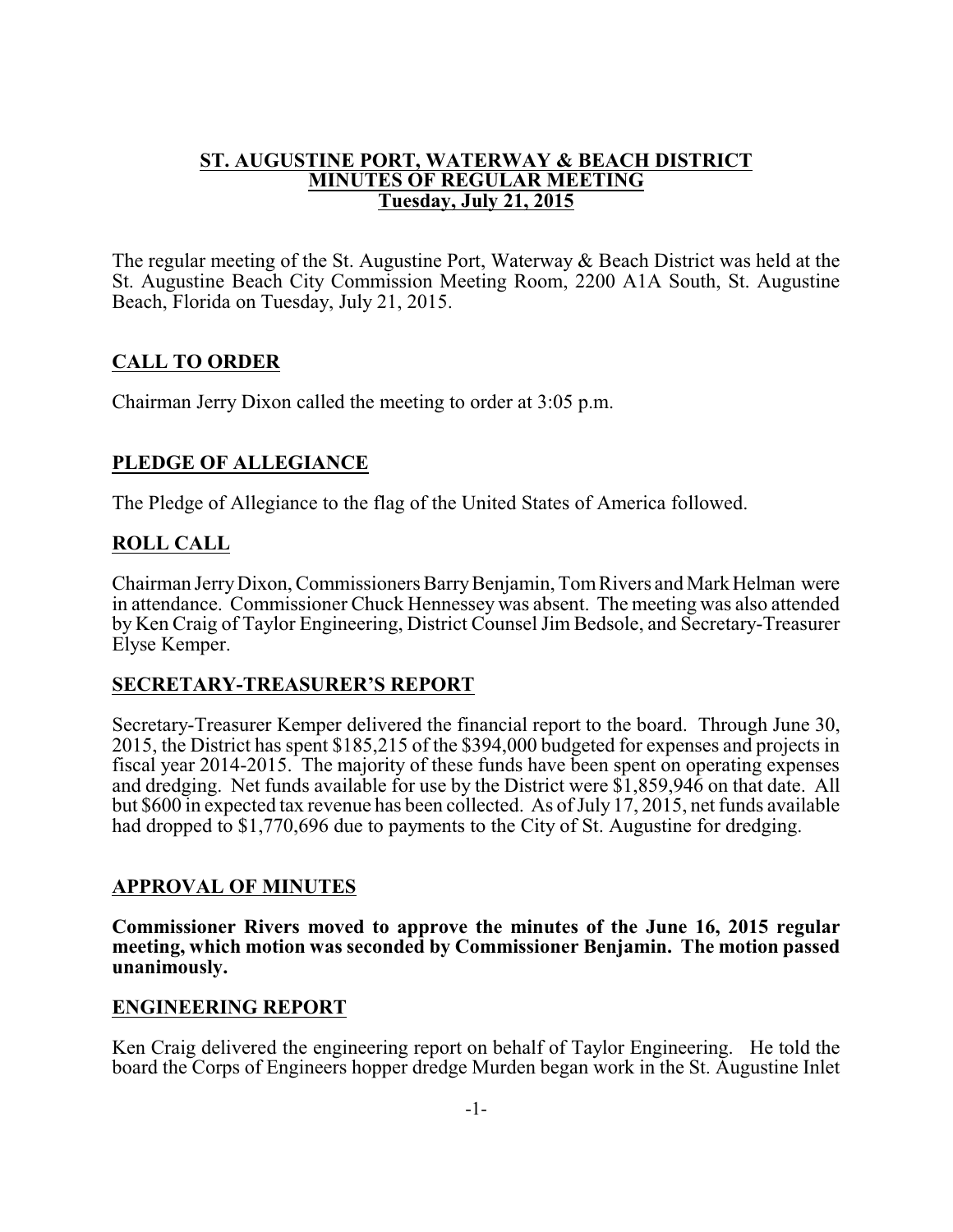## **ST. AUGUSTINE PORT, WATERWAY & BEACH DISTRICT MINUTES OF REGULAR MEETING Tuesday, July 21, 2015**

The regular meeting of the St. Augustine Port, Waterway & Beach District was held at the St. Augustine Beach City Commission Meeting Room, 2200 A1A South, St. Augustine Beach, Florida on Tuesday, July 21, 2015.

# **CALL TO ORDER**

Chairman Jerry Dixon called the meeting to order at 3:05 p.m.

# **PLEDGE OF ALLEGIANCE**

The Pledge of Allegiance to the flag of the United States of America followed.

### **ROLL CALL**

Chairman Jerry Dixon, Commissioners Barry Benjamin, Tom Rivers and Mark Helman were in attendance. Commissioner Chuck Hennessey was absent. The meeting was also attended by Ken Craig of Taylor Engineering, District Counsel Jim Bedsole, and Secretary-Treasurer Elyse Kemper.

### **SECRETARY-TREASURER'S REPORT**

Secretary-Treasurer Kemper delivered the financial report to the board. Through June 30, 2015, the District has spent \$185,215 of the \$394,000 budgeted for expenses and projects in fiscal year 2014-2015. The majority of these funds have been spent on operating expenses and dredging. Net funds available for use by the District were \$1,859,946 on that date. All but \$600 in expected tax revenue has been collected. As of July 17, 2015, net funds available had dropped to \$1,770,696 due to payments to the City of St. Augustine for dredging.

### **APPROVAL OF MINUTES**

**Commissioner Rivers moved to approve the minutes of the June 16, 2015 regular meeting, which motion was seconded by Commissioner Benjamin. The motion passed unanimously.**

### **ENGINEERING REPORT**

Ken Craig delivered the engineering report on behalf of Taylor Engineering. He told the board the Corps of Engineers hopper dredge Murden began work in the St. Augustine Inlet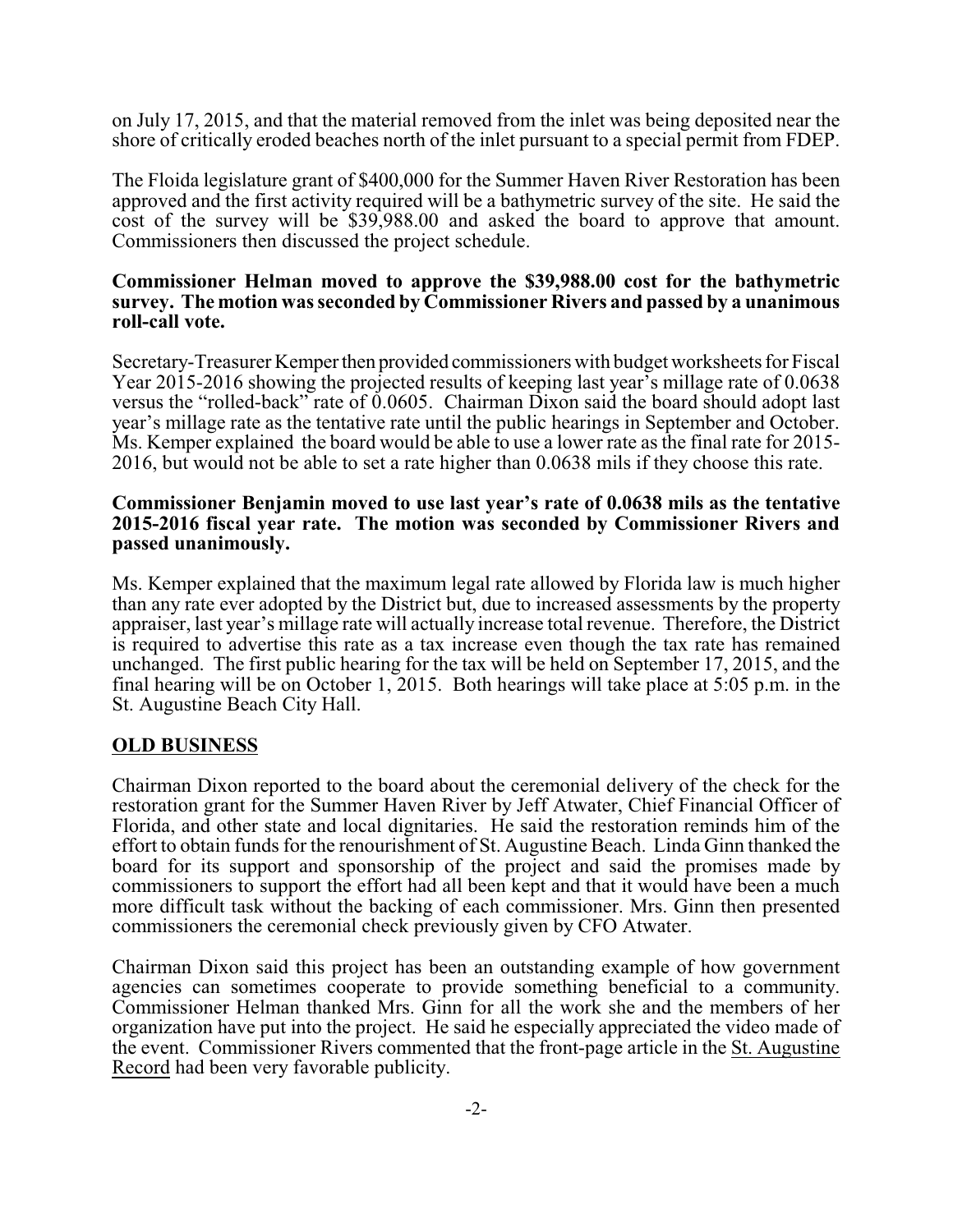on July 17, 2015, and that the material removed from the inlet was being deposited near the shore of critically eroded beaches north of the inlet pursuant to a special permit from FDEP.

The Floida legislature grant of \$400,000 for the Summer Haven River Restoration has been approved and the first activity required will be a bathymetric survey of the site. He said the cost of the survey will be \$39,988.00 and asked the board to approve that amount. Commissioners then discussed the project schedule.

#### **Commissioner Helman moved to approve the \$39,988.00 cost for the bathymetric survey. The motion was seconded by Commissioner Rivers and passed by a unanimous roll-call vote.**

Secretary-Treasurer Kemperthen provided commissioners with budget worksheets for Fiscal Year 2015-2016 showing the projected results of keeping last year's millage rate of 0.0638 versus the "rolled-back" rate of 0.0605. Chairman Dixon said the board should adopt last year's millage rate as the tentative rate until the public hearings in September and October. Ms. Kemper explained the board would be able to use a lower rate as the final rate for 2015- 2016, but would not be able to set a rate higher than 0.0638 mils if they choose this rate.

#### **Commissioner Benjamin moved to use last year's rate of 0.0638 mils as the tentative 2015-2016 fiscal year rate. The motion was seconded by Commissioner Rivers and passed unanimously.**

Ms. Kemper explained that the maximum legal rate allowed by Florida law is much higher than any rate ever adopted by the District but, due to increased assessments by the property appraiser, last year's millage rate will actually increase total revenue. Therefore, the District is required to advertise this rate as a tax increase even though the tax rate has remained unchanged. The first public hearing for the tax will be held on September 17, 2015, and the final hearing will be on October 1, 2015. Both hearings will take place at 5:05 p.m. in the St. Augustine Beach City Hall.

### **OLD BUSINESS**

Chairman Dixon reported to the board about the ceremonial delivery of the check for the restoration grant for the Summer Haven River by Jeff Atwater, Chief Financial Officer of Florida, and other state and local dignitaries. He said the restoration reminds him of the effort to obtain funds for the renourishment of St. Augustine Beach. Linda Ginn thanked the board for its support and sponsorship of the project and said the promises made by commissioners to support the effort had all been kept and that it would have been a much more difficult task without the backing of each commissioner. Mrs. Ginn then presented commissioners the ceremonial check previously given by CFO Atwater.

Chairman Dixon said this project has been an outstanding example of how government agencies can sometimes cooperate to provide something beneficial to a community. Commissioner Helman thanked Mrs. Ginn for all the work she and the members of her organization have put into the project. He said he especially appreciated the video made of the event. Commissioner Rivers commented that the front-page article in the St. Augustine Record had been very favorable publicity.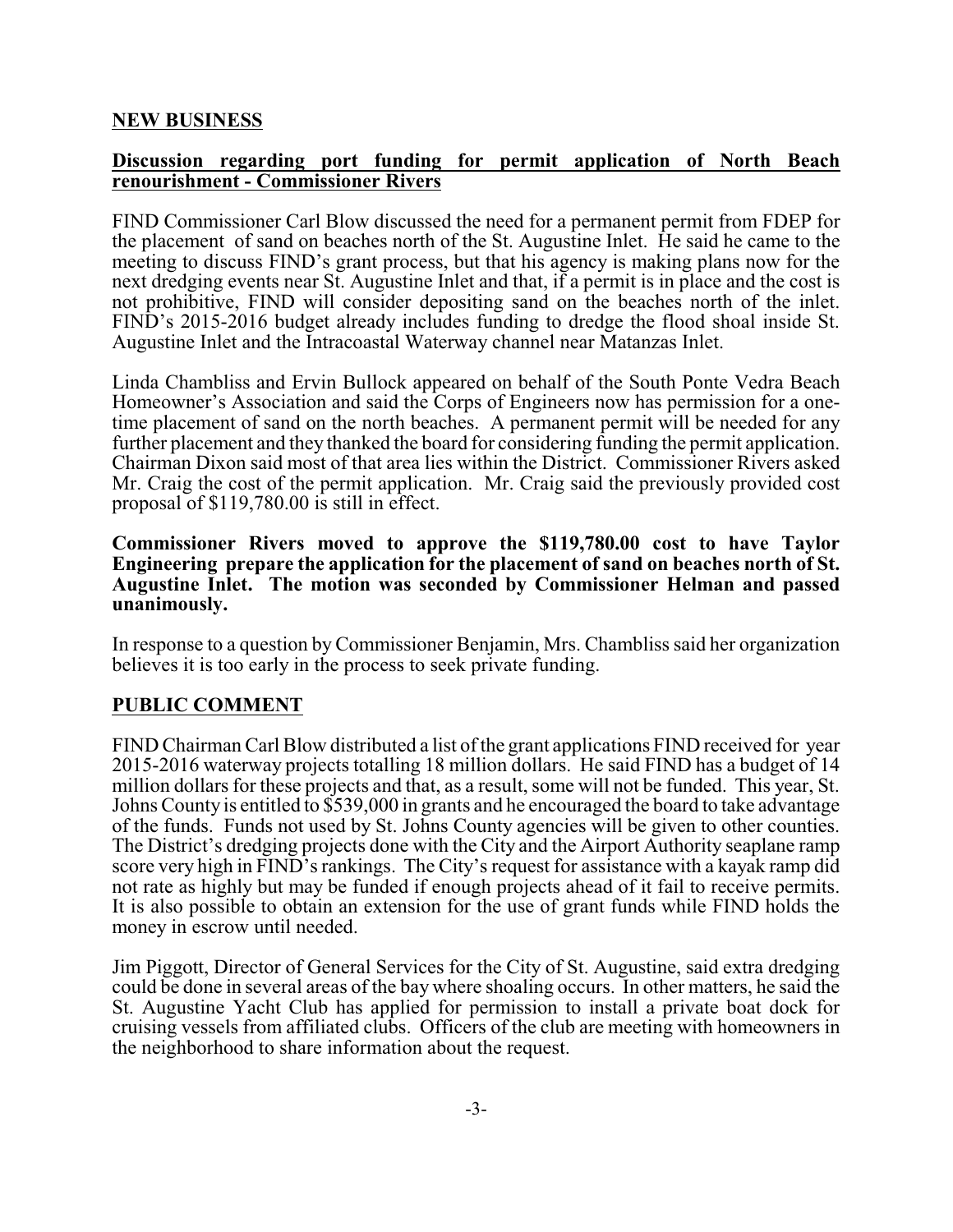## **NEW BUSINESS**

#### **Discussion regarding port funding for permit application of North Beach renourishment - Commissioner Rivers**

FIND Commissioner Carl Blow discussed the need for a permanent permit from FDEP for the placement of sand on beaches north of the St. Augustine Inlet. He said he came to the meeting to discuss FIND's grant process, but that his agency is making plans now for the next dredging events near St. Augustine Inlet and that, if a permit is in place and the cost is not prohibitive, FIND will consider depositing sand on the beaches north of the inlet. FIND's 2015-2016 budget already includes funding to dredge the flood shoal inside St. Augustine Inlet and the Intracoastal Waterway channel near Matanzas Inlet.

Linda Chambliss and Ervin Bullock appeared on behalf of the South Ponte Vedra Beach Homeowner's Association and said the Corps of Engineers now has permission for a onetime placement of sand on the north beaches. A permanent permit will be needed for any further placement and they thanked the board for considering funding the permit application. Chairman Dixon said most of that area lies within the District. Commissioner Rivers asked Mr. Craig the cost of the permit application. Mr. Craig said the previously provided cost proposal of \$119,780.00 is still in effect.

#### **Commissioner Rivers moved to approve the \$119,780.00 cost to have Taylor Engineering prepare the application for the placement of sand on beaches north of St. Augustine Inlet. The motion was seconded by Commissioner Helman and passed unanimously.**

In response to a question byCommissioner Benjamin, Mrs. Chambliss said her organization believes it is too early in the process to seek private funding.

# **PUBLIC COMMENT**

FIND Chairman Carl Blow distributed a list of the grant applications FIND received for year 2015-2016 waterway projects totalling 18 million dollars. He said FIND has a budget of 14 million dollars for these projects and that, as a result, some will not be funded. This year, St. Johns County is entitled to \$539,000 in grants and he encouraged the board to take advantage of the funds. Funds not used by St. Johns County agencies will be given to other counties. The District's dredging projects done with the City and the Airport Authority seaplane ramp score very high in FIND's rankings. The City's request for assistance with a kayak ramp did not rate as highly but may be funded if enough projects ahead of it fail to receive permits. It is also possible to obtain an extension for the use of grant funds while FIND holds the money in escrow until needed.

Jim Piggott, Director of General Services for the City of St. Augustine, said extra dredging could be done in several areas of the bay where shoaling occurs. In other matters, he said the St. Augustine Yacht Club has applied for permission to install a private boat dock for cruising vessels from affiliated clubs. Officers of the club are meeting with homeowners in the neighborhood to share information about the request.